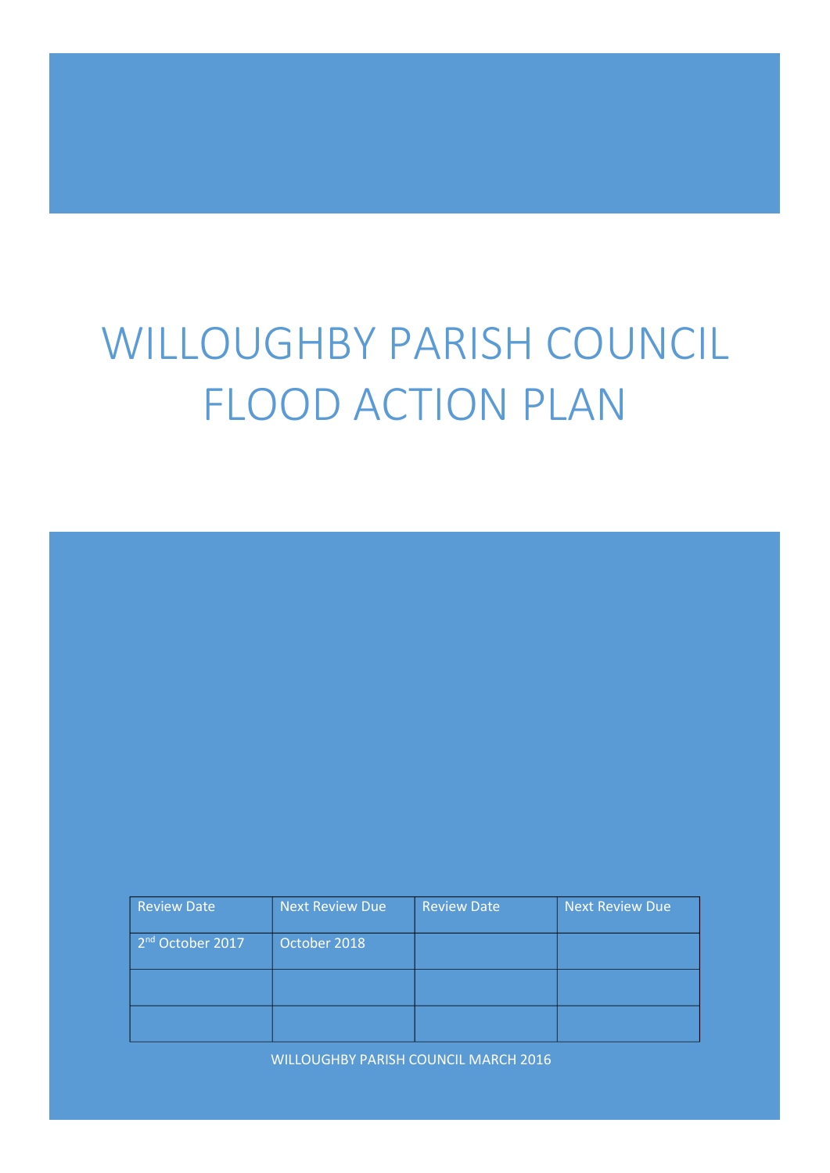# WILLOUGHBY PARISH COUNCIL FLOOD ACTION PLAN

| Review Date                  | Next Review Due | <b>Review Date</b> | <b>Next Review Due</b> |
|------------------------------|-----------------|--------------------|------------------------|
| 2 <sup>nd</sup> October 2017 | October 2018    |                    |                        |
|                              |                 |                    |                        |
|                              |                 |                    |                        |

WILLOUGHBY PARISH COUNCIL MARCH 2016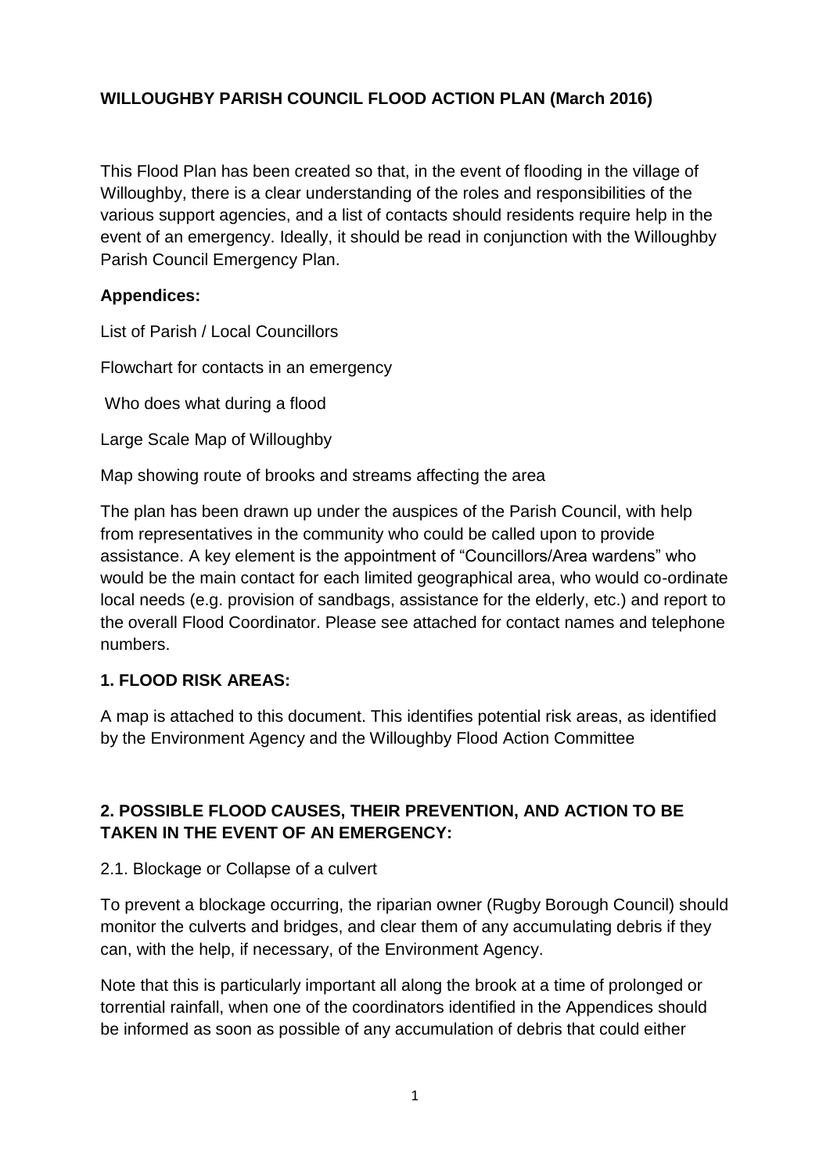#### **WILLOUGHBY PARISH COUNCIL FLOOD ACTION PLAN (March 2016)**

This Flood Plan has been created so that, in the event of flooding in the village of Willoughby, there is a clear understanding of the roles and responsibilities of the various support agencies, and a list of contacts should residents require help in the event of an emergency. Ideally, it should be read in conjunction with the Willoughby Parish Council Emergency Plan.

#### **Appendices:**

List of Parish / Local Councillors

Flowchart for contacts in an emergency

Who does what during a flood

Large Scale Map of Willoughby

Map showing route of brooks and streams affecting the area

The plan has been drawn up under the auspices of the Parish Council, with help from representatives in the community who could be called upon to provide assistance. A key element is the appointment of "Councillors/Area wardens" who would be the main contact for each limited geographical area, who would co-ordinate local needs (e.g. provision of sandbags, assistance for the elderly, etc.) and report to the overall Flood Coordinator. Please see attached for contact names and telephone numbers.

#### **1. FLOOD RISK AREAS:**

A map is attached to this document. This identifies potential risk areas, as identified by the Environment Agency and the Willoughby Flood Action Committee

#### **2. POSSIBLE FLOOD CAUSES, THEIR PREVENTION, AND ACTION TO BE TAKEN IN THE EVENT OF AN EMERGENCY:**

#### 2.1. Blockage or Collapse of a culvert

To prevent a blockage occurring, the riparian owner (Rugby Borough Council) should monitor the culverts and bridges, and clear them of any accumulating debris if they can, with the help, if necessary, of the Environment Agency.

Note that this is particularly important all along the brook at a time of prolonged or torrential rainfall, when one of the coordinators identified in the Appendices should be informed as soon as possible of any accumulation of debris that could either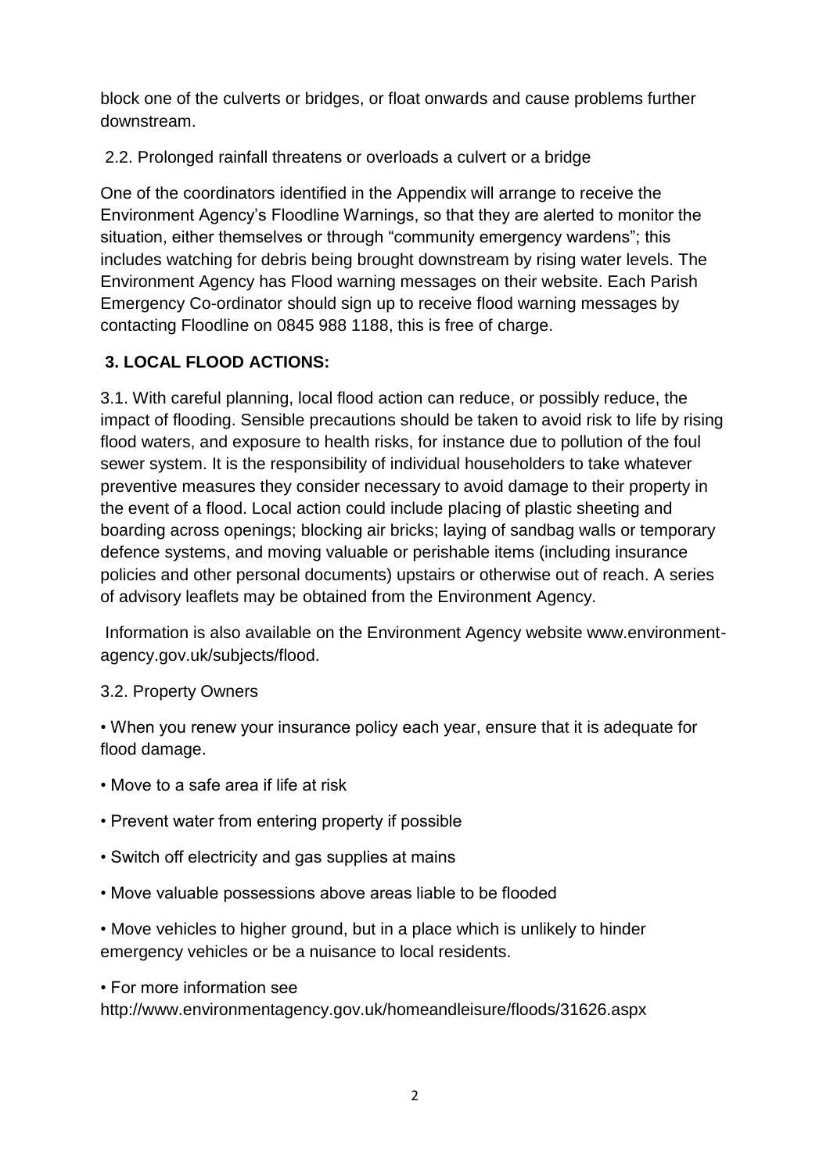block one of the culverts or bridges, or float onwards and cause problems further downstream.

2.2. Prolonged rainfall threatens or overloads a culvert or a bridge

One of the coordinators identified in the Appendix will arrange to receive the Environment Agency's Floodline Warnings, so that they are alerted to monitor the situation, either themselves or through "community emergency wardens"; this includes watching for debris being brought downstream by rising water levels. The Environment Agency has Flood warning messages on their website. Each Parish Emergency Co-ordinator should sign up to receive flood warning messages by contacting Floodline on 0845 988 1188, this is free of charge.

## **3. LOCAL FLOOD ACTIONS:**

3.1. With careful planning, local flood action can reduce, or possibly reduce, the impact of flooding. Sensible precautions should be taken to avoid risk to life by rising flood waters, and exposure to health risks, for instance due to pollution of the foul sewer system. It is the responsibility of individual householders to take whatever preventive measures they consider necessary to avoid damage to their property in the event of a flood. Local action could include placing of plastic sheeting and boarding across openings; blocking air bricks; laying of sandbag walls or temporary defence systems, and moving valuable or perishable items (including insurance policies and other personal documents) upstairs or otherwise out of reach. A series of advisory leaflets may be obtained from the Environment Agency.

Information is also available on the Environment Agency website www.environmentagency.gov.uk/subjects/flood.

#### 3.2. Property Owners

• When you renew your insurance policy each year, ensure that it is adequate for flood damage.

- Move to a safe area if life at risk
- Prevent water from entering property if possible
- Switch off electricity and gas supplies at mains
- Move valuable possessions above areas liable to be flooded
- Move vehicles to higher ground, but in a place which is unlikely to hinder emergency vehicles or be a nuisance to local residents.
- For more information see

http://www.environmentagency.gov.uk/homeandleisure/floods/31626.aspx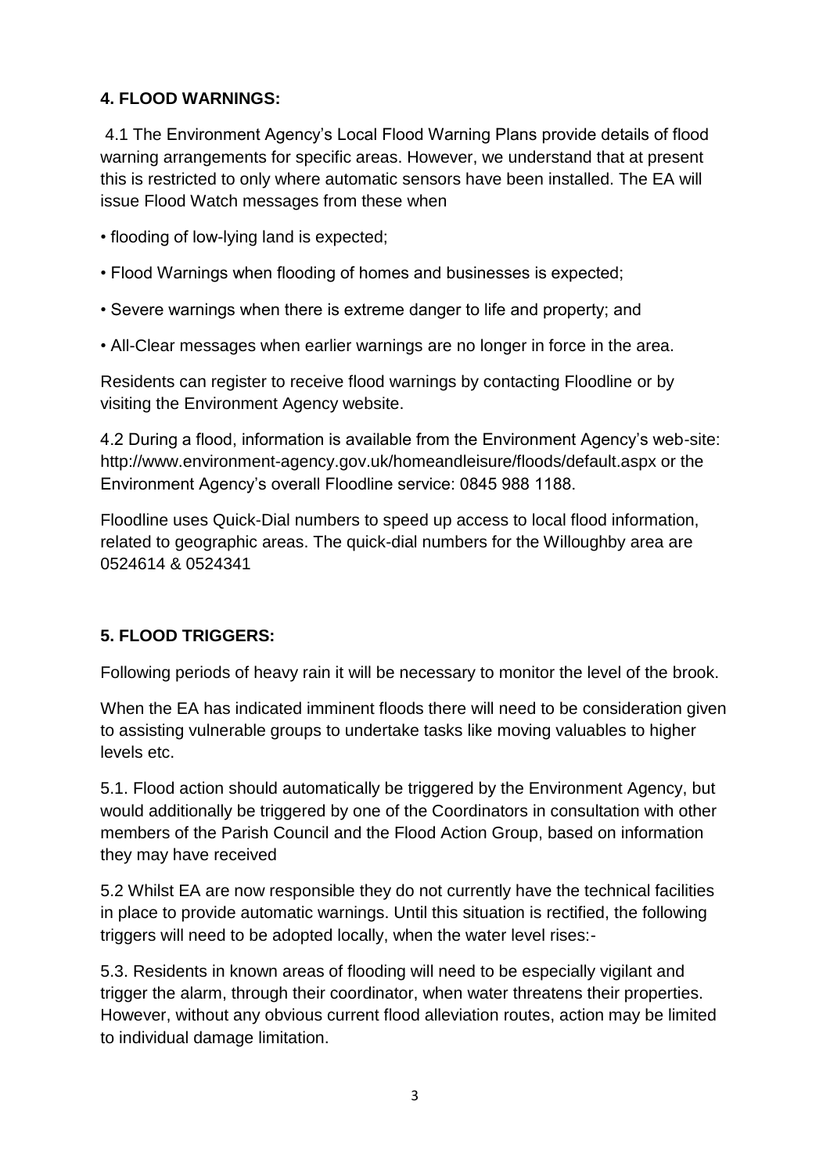## **4. FLOOD WARNINGS:**

4.1 The Environment Agency's Local Flood Warning Plans provide details of flood warning arrangements for specific areas. However, we understand that at present this is restricted to only where automatic sensors have been installed. The EA will issue Flood Watch messages from these when

- flooding of low-lying land is expected;
- Flood Warnings when flooding of homes and businesses is expected;
- Severe warnings when there is extreme danger to life and property; and
- All-Clear messages when earlier warnings are no longer in force in the area.

Residents can register to receive flood warnings by contacting Floodline or by visiting the Environment Agency website.

4.2 During a flood, information is available from the Environment Agency's web-site: http://www.environment-agency.gov.uk/homeandleisure/floods/default.aspx or the Environment Agency's overall Floodline service: 0845 988 1188.

Floodline uses Quick-Dial numbers to speed up access to local flood information, related to geographic areas. The quick-dial numbers for the Willoughby area are 0524614 & 0524341

## **5. FLOOD TRIGGERS:**

Following periods of heavy rain it will be necessary to monitor the level of the brook.

When the EA has indicated imminent floods there will need to be consideration given to assisting vulnerable groups to undertake tasks like moving valuables to higher levels etc.

5.1. Flood action should automatically be triggered by the Environment Agency, but would additionally be triggered by one of the Coordinators in consultation with other members of the Parish Council and the Flood Action Group, based on information they may have received

5.2 Whilst EA are now responsible they do not currently have the technical facilities in place to provide automatic warnings. Until this situation is rectified, the following triggers will need to be adopted locally, when the water level rises:-

5.3. Residents in known areas of flooding will need to be especially vigilant and trigger the alarm, through their coordinator, when water threatens their properties. However, without any obvious current flood alleviation routes, action may be limited to individual damage limitation.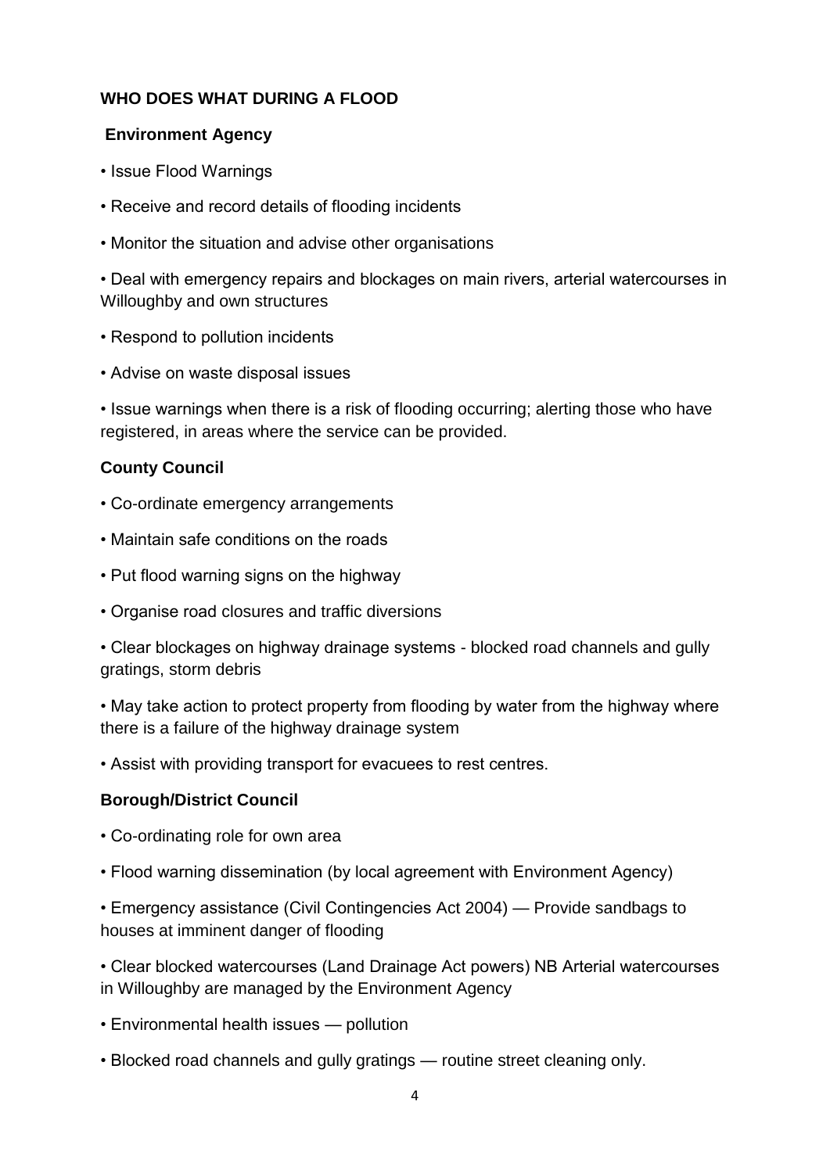#### **WHO DOES WHAT DURING A FLOOD**

#### **Environment Agency**

- Issue Flood Warnings
- Receive and record details of flooding incidents
- Monitor the situation and advise other organisations

• Deal with emergency repairs and blockages on main rivers, arterial watercourses in Willoughby and own structures

- Respond to pollution incidents
- Advise on waste disposal issues

• Issue warnings when there is a risk of flooding occurring; alerting those who have registered, in areas where the service can be provided.

#### **County Council**

- Co-ordinate emergency arrangements
- Maintain safe conditions on the roads
- Put flood warning signs on the highway
- Organise road closures and traffic diversions

• Clear blockages on highway drainage systems - blocked road channels and gully gratings, storm debris

• May take action to protect property from flooding by water from the highway where there is a failure of the highway drainage system

• Assist with providing transport for evacuees to rest centres.

#### **Borough/District Council**

- Co-ordinating role for own area
- Flood warning dissemination (by local agreement with Environment Agency)

• Emergency assistance (Civil Contingencies Act 2004) — Provide sandbags to houses at imminent danger of flooding

• Clear blocked watercourses (Land Drainage Act powers) NB Arterial watercourses in Willoughby are managed by the Environment Agency

- Environmental health issues pollution
- Blocked road channels and gully gratings routine street cleaning only.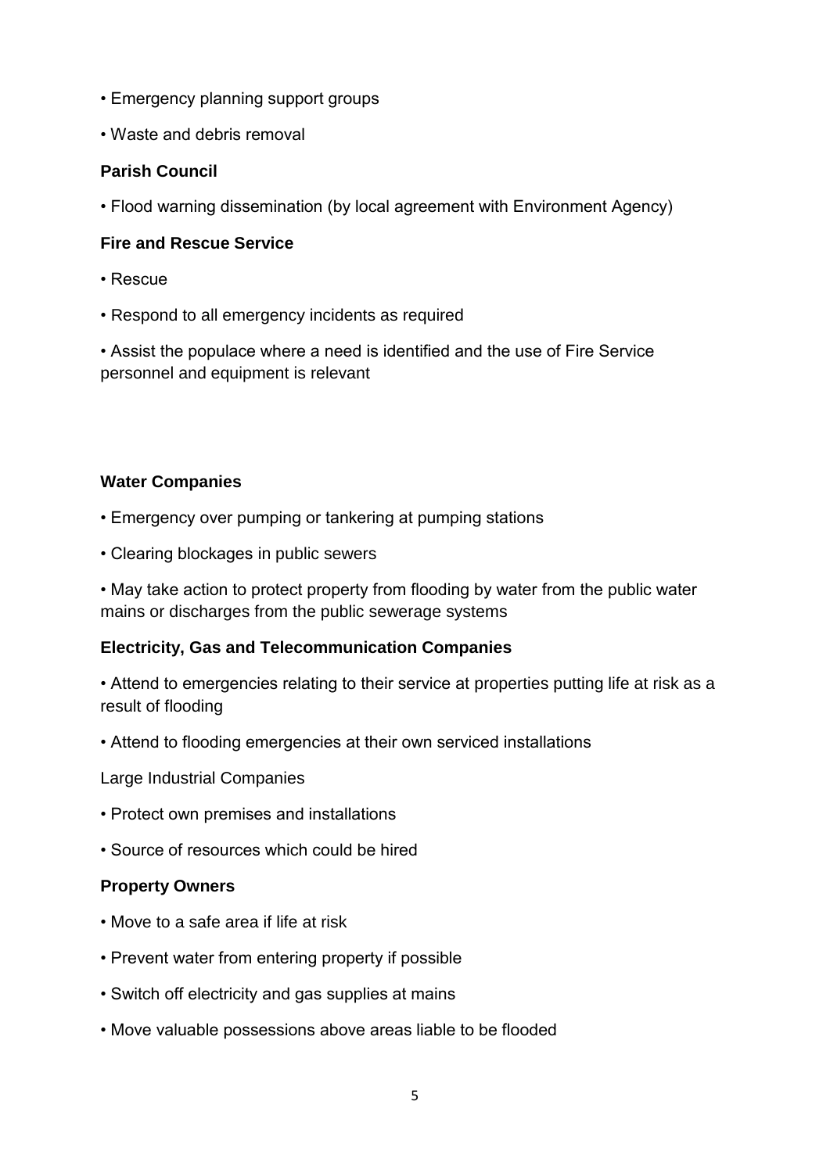- Emergency planning support groups
- Waste and debris removal

#### **Parish Council**

• Flood warning dissemination (by local agreement with Environment Agency)

#### **Fire and Rescue Service**

- Rescue
- Respond to all emergency incidents as required

• Assist the populace where a need is identified and the use of Fire Service personnel and equipment is relevant

#### **Water Companies**

- Emergency over pumping or tankering at pumping stations
- Clearing blockages in public sewers

• May take action to protect property from flooding by water from the public water mains or discharges from the public sewerage systems

#### **Electricity, Gas and Telecommunication Companies**

• Attend to emergencies relating to their service at properties putting life at risk as a result of flooding

• Attend to flooding emergencies at their own serviced installations

Large Industrial Companies

- Protect own premises and installations
- Source of resources which could be hired

#### **Property Owners**

- Move to a safe area if life at risk
- Prevent water from entering property if possible
- Switch off electricity and gas supplies at mains
- Move valuable possessions above areas liable to be flooded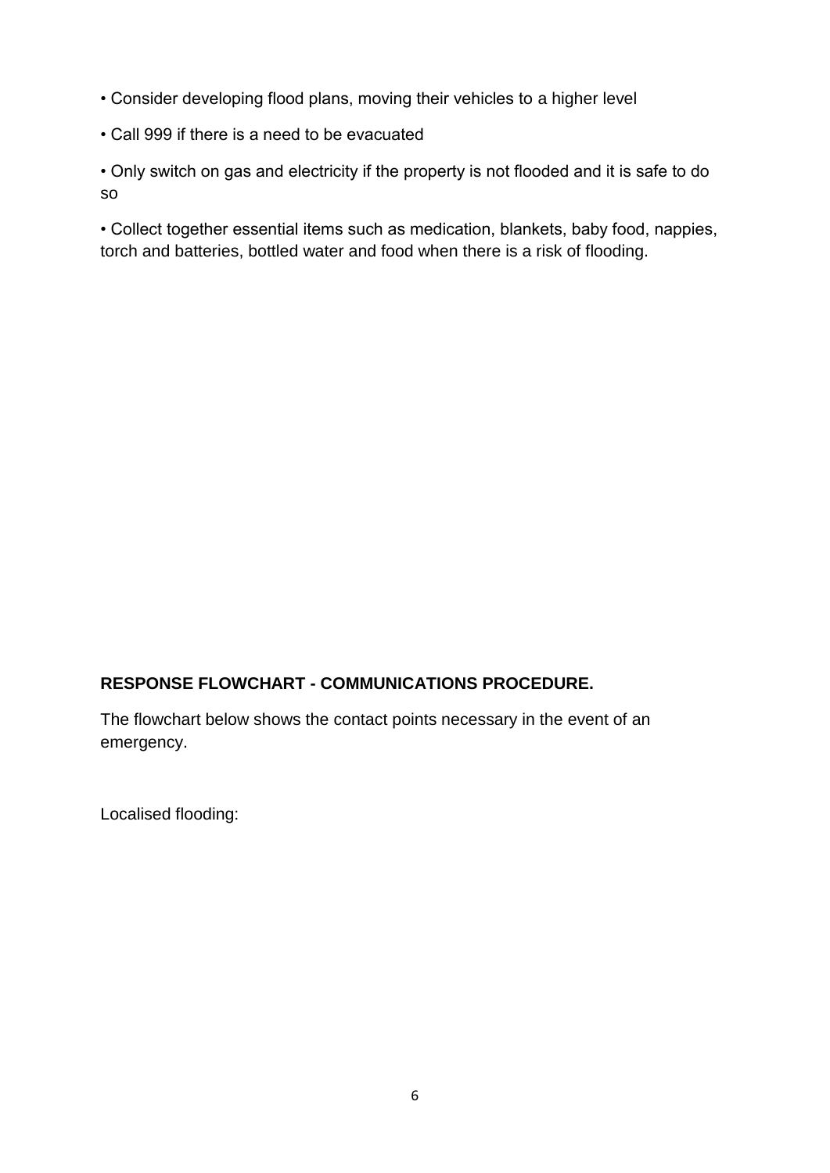- Consider developing flood plans, moving their vehicles to a higher level
- Call 999 if there is a need to be evacuated

• Only switch on gas and electricity if the property is not flooded and it is safe to do so

• Collect together essential items such as medication, blankets, baby food, nappies, torch and batteries, bottled water and food when there is a risk of flooding.

## **RESPONSE FLOWCHART - COMMUNICATIONS PROCEDURE.**

The flowchart below shows the contact points necessary in the event of an emergency.

Localised flooding: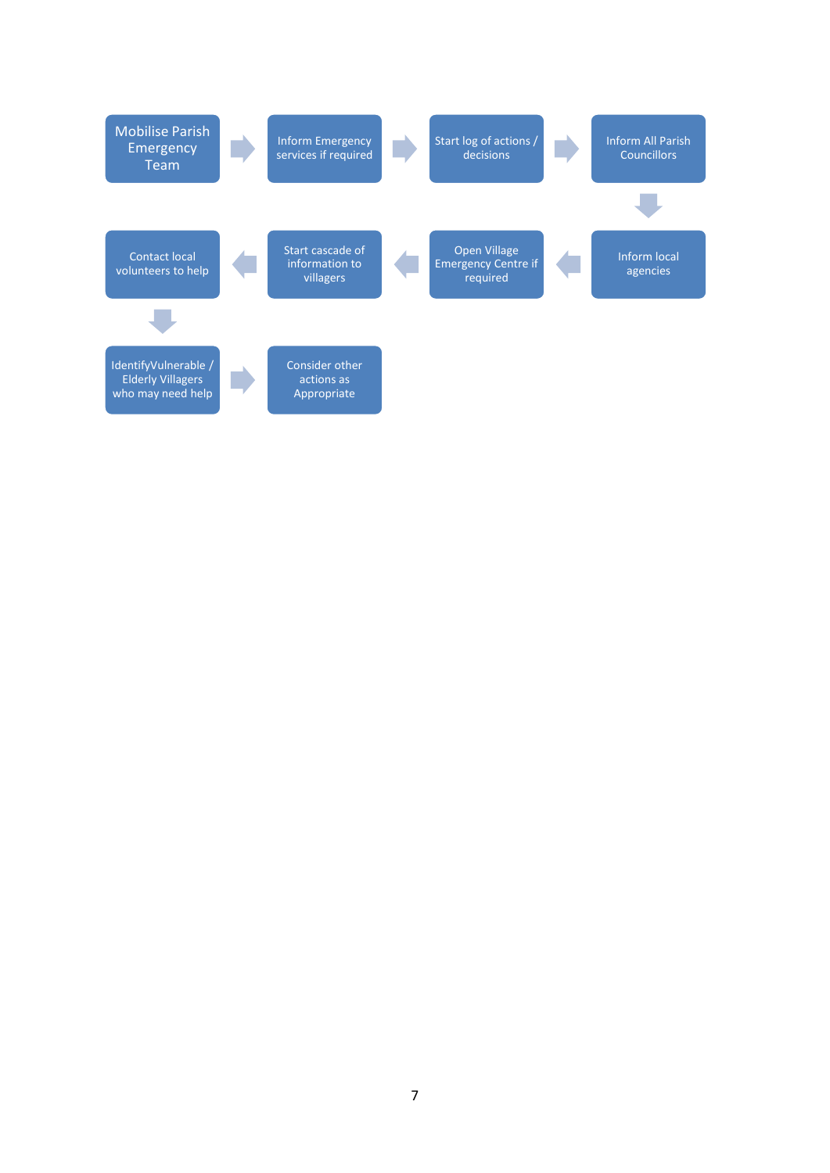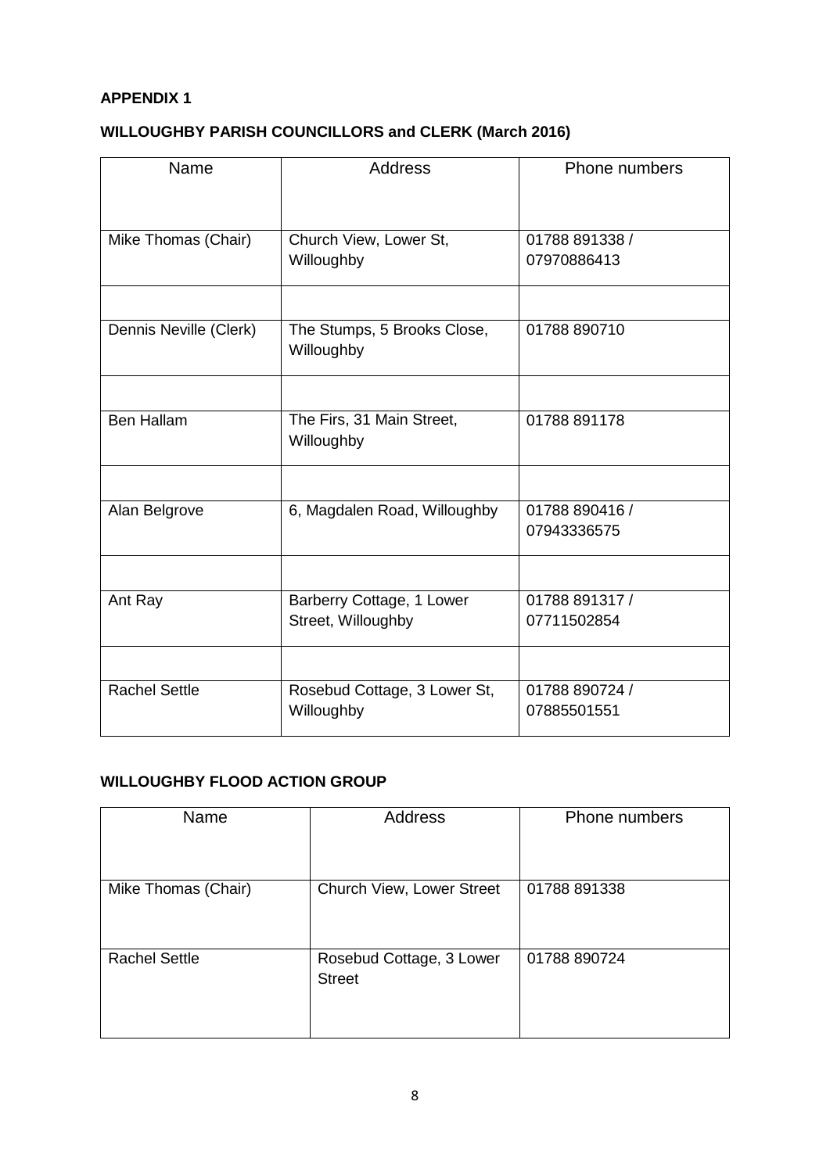#### **APPENDIX 1**

## **WILLOUGHBY PARISH COUNCILLORS and CLERK (March 2016)**

| Name                   | <b>Address</b>                            | Phone numbers  |
|------------------------|-------------------------------------------|----------------|
|                        |                                           |                |
|                        |                                           |                |
| Mike Thomas (Chair)    | Church View, Lower St,                    | 01788 891338 / |
|                        | Willoughby                                | 07970886413    |
|                        |                                           |                |
| Dennis Neville (Clerk) | The Stumps, 5 Brooks Close,<br>Willoughby | 01788 890710   |
|                        |                                           |                |
| <b>Ben Hallam</b>      | The Firs, 31 Main Street,                 | 01788 891178   |
|                        | Willoughby                                |                |
|                        |                                           |                |
| Alan Belgrove          | 6, Magdalen Road, Willoughby              | 01788 890416 / |
|                        |                                           | 07943336575    |
|                        |                                           |                |
| Ant Ray                | Barberry Cottage, 1 Lower                 | 01788 891317 / |
|                        | Street, Willoughby                        | 07711502854    |
|                        |                                           |                |
| <b>Rachel Settle</b>   | Rosebud Cottage, 3 Lower St,              | 01788 890724 / |
|                        | Willoughby                                | 07885501551    |

#### **WILLOUGHBY FLOOD ACTION GROUP**

| Name                 | Address                                   | <b>Phone numbers</b> |
|----------------------|-------------------------------------------|----------------------|
|                      |                                           |                      |
| Mike Thomas (Chair)  | Church View, Lower Street                 | 01788 891338         |
|                      |                                           |                      |
| <b>Rachel Settle</b> | Rosebud Cottage, 3 Lower<br><b>Street</b> | 01788 890724         |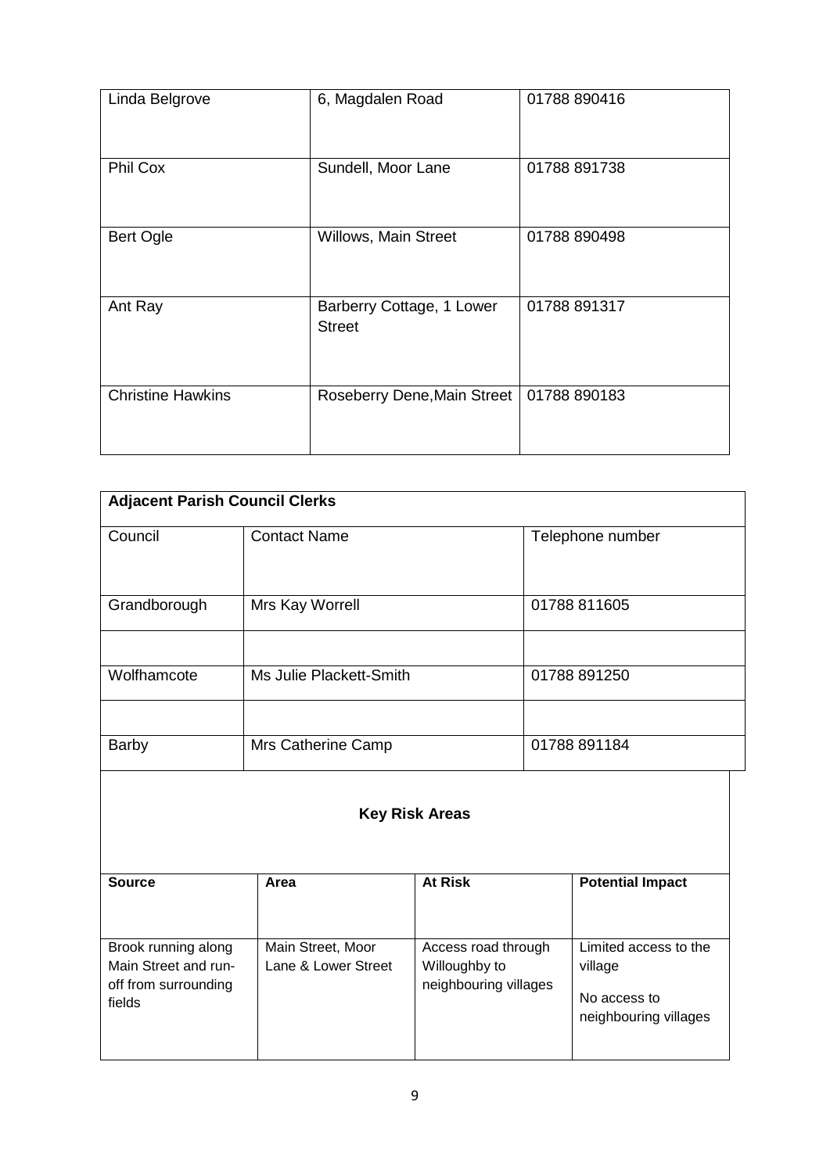| Linda Belgrove           | 6, Magdalen Road                           | 01788 890416 |
|--------------------------|--------------------------------------------|--------------|
| Phil Cox                 | Sundell, Moor Lane                         | 01788 891738 |
| <b>Bert Ogle</b>         | Willows, Main Street                       | 01788 890498 |
| Ant Ray                  | Barberry Cottage, 1 Lower<br><b>Street</b> | 01788 891317 |
| <b>Christine Hawkins</b> | Roseberry Dene, Main Street                | 01788 890183 |

| <b>Adjacent Parish Council Clerks</b> |                         |                  |  |  |
|---------------------------------------|-------------------------|------------------|--|--|
| Council                               | <b>Contact Name</b>     | Telephone number |  |  |
| Grandborough                          | Mrs Kay Worrell         | 01788 811605     |  |  |
|                                       |                         |                  |  |  |
| Wolfhamcote                           | Ms Julie Plackett-Smith | 01788 891250     |  |  |
|                                       |                         |                  |  |  |
| <b>Barby</b>                          | Mrs Catherine Camp      | 01788 891184     |  |  |

#### **Key Risk Areas**

| <b>Source</b>                                                                 | Area                                     | <b>At Risk</b>                                                | <b>Potential Impact</b>                                                   |
|-------------------------------------------------------------------------------|------------------------------------------|---------------------------------------------------------------|---------------------------------------------------------------------------|
| Brook running along<br>Main Street and run-<br>off from surrounding<br>fields | Main Street, Moor<br>Lane & Lower Street | Access road through<br>Willoughby to<br>neighbouring villages | Limited access to the<br>village<br>No access to<br>neighbouring villages |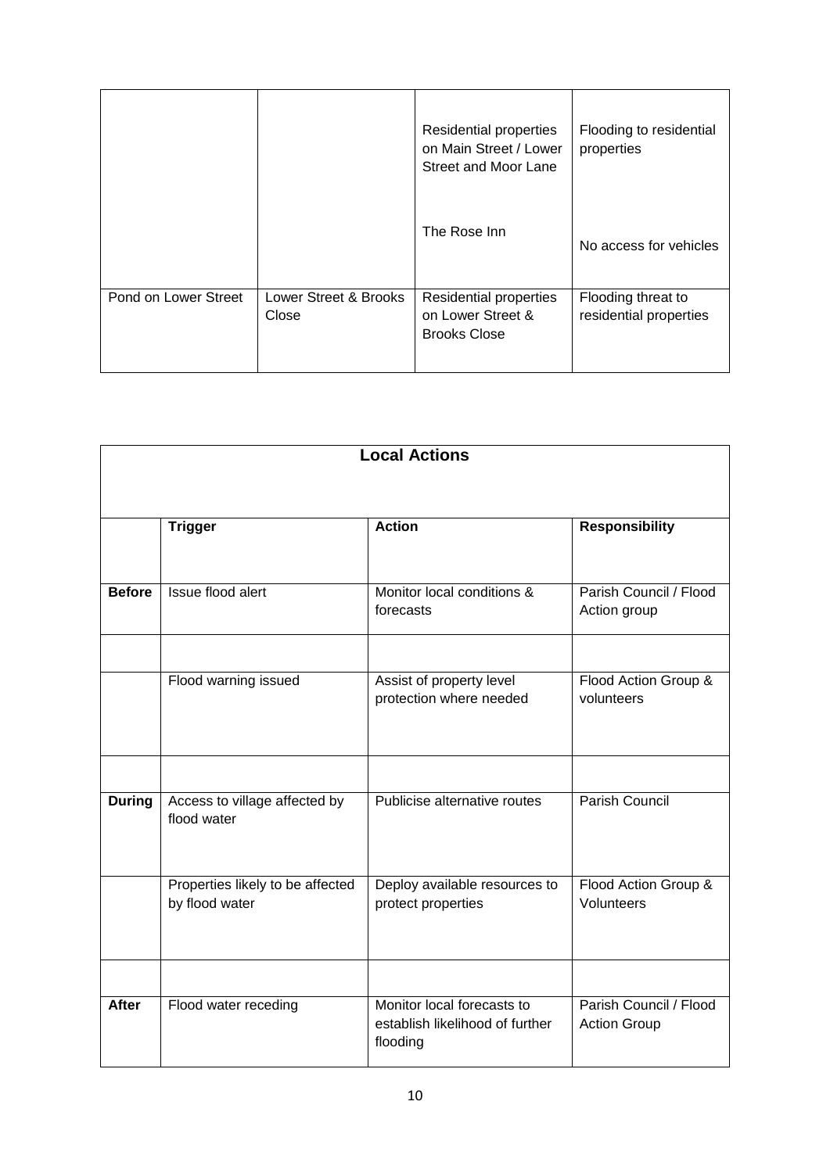|                      |                                | Residential properties<br>on Main Street / Lower<br>Street and Moor Lane | Flooding to residential<br>properties        |
|----------------------|--------------------------------|--------------------------------------------------------------------------|----------------------------------------------|
|                      |                                | The Rose Inn                                                             | No access for vehicles                       |
| Pond on Lower Street | Lower Street & Brooks<br>Close | Residential properties<br>on Lower Street &<br><b>Brooks Close</b>       | Flooding threat to<br>residential properties |

| <b>Local Actions</b> |                                  |                                                     |                                    |  |  |
|----------------------|----------------------------------|-----------------------------------------------------|------------------------------------|--|--|
|                      |                                  |                                                     |                                    |  |  |
|                      |                                  |                                                     |                                    |  |  |
|                      | <b>Trigger</b>                   | <b>Action</b>                                       | <b>Responsibility</b>              |  |  |
|                      |                                  |                                                     |                                    |  |  |
| <b>Before</b>        | Issue flood alert                | Monitor local conditions &                          | Parish Council / Flood             |  |  |
|                      |                                  | forecasts                                           | Action group                       |  |  |
|                      |                                  |                                                     |                                    |  |  |
|                      | Flood warning issued             | Assist of property level<br>protection where needed | Flood Action Group &<br>volunteers |  |  |
|                      |                                  |                                                     |                                    |  |  |
|                      |                                  |                                                     |                                    |  |  |
|                      |                                  |                                                     |                                    |  |  |
| <b>During</b>        | Access to village affected by    | Publicise alternative routes                        | Parish Council                     |  |  |
|                      | flood water                      |                                                     |                                    |  |  |
|                      |                                  |                                                     |                                    |  |  |
|                      | Properties likely to be affected | Deploy available resources to                       | Flood Action Group &               |  |  |
|                      | by flood water                   | protect properties                                  | Volunteers                         |  |  |
|                      |                                  |                                                     |                                    |  |  |
|                      |                                  |                                                     |                                    |  |  |
| <b>After</b>         | Flood water receding             | Monitor local forecasts to                          | Parish Council / Flood             |  |  |
|                      |                                  | establish likelihood of further<br>flooding         | <b>Action Group</b>                |  |  |
|                      |                                  |                                                     |                                    |  |  |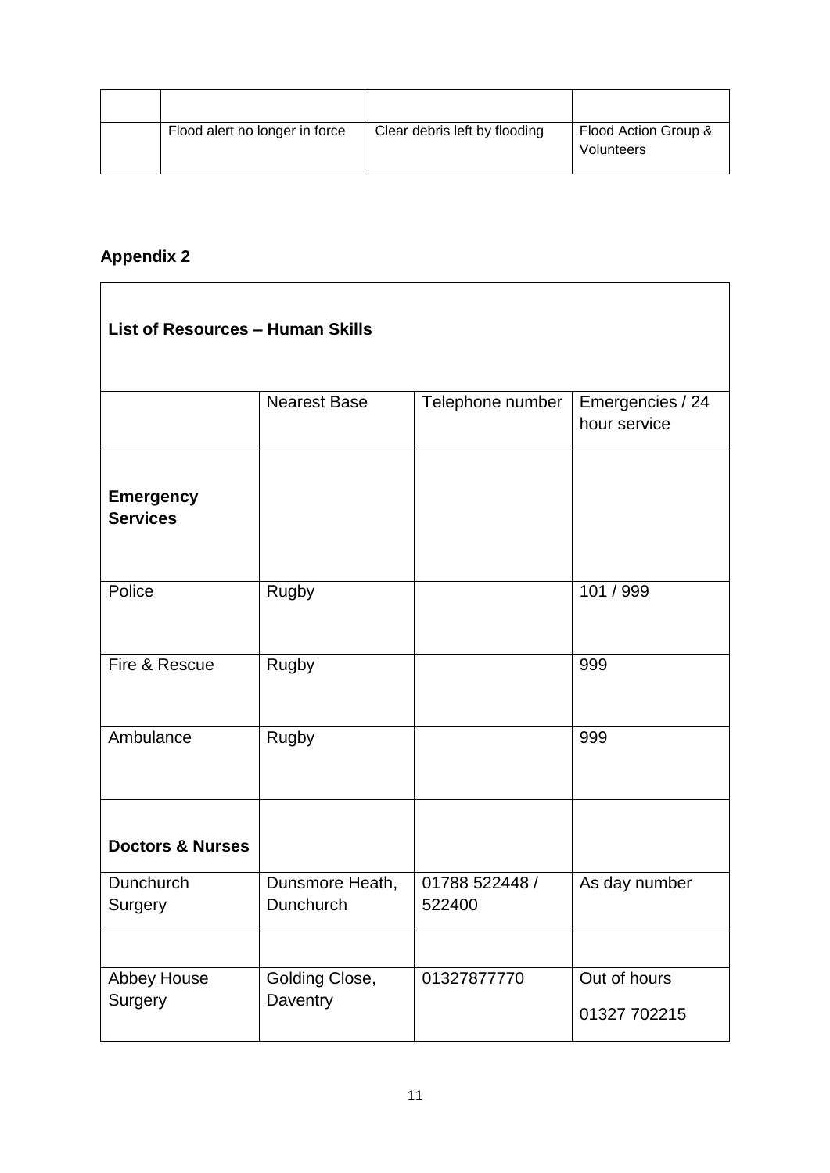| Flood alert no longer in force | Clear debris left by flooding | Flood Action Group &<br><b>Volunteers</b> |
|--------------------------------|-------------------------------|-------------------------------------------|

۳

# **Appendix 2**

| <b>List of Resources - Human Skills</b> |                              |                          |                                  |  |
|-----------------------------------------|------------------------------|--------------------------|----------------------------------|--|
|                                         | <b>Nearest Base</b>          | Telephone number         | Emergencies / 24<br>hour service |  |
| <b>Emergency</b><br><b>Services</b>     |                              |                          |                                  |  |
| Police                                  | Rugby                        |                          | 101 / 999                        |  |
| Fire & Rescue                           | Rugby                        |                          | 999                              |  |
| Ambulance                               | <b>Rugby</b>                 |                          | 999                              |  |
| <b>Doctors &amp; Nurses</b>             |                              |                          |                                  |  |
| Dunchurch<br>Surgery                    | Dunsmore Heath,<br>Dunchurch | 01788 522448 /<br>522400 | As day number                    |  |
|                                         |                              |                          |                                  |  |
| Abbey House<br>Surgery                  | Golding Close,<br>Daventry   | 01327877770              | Out of hours<br>01327 702215     |  |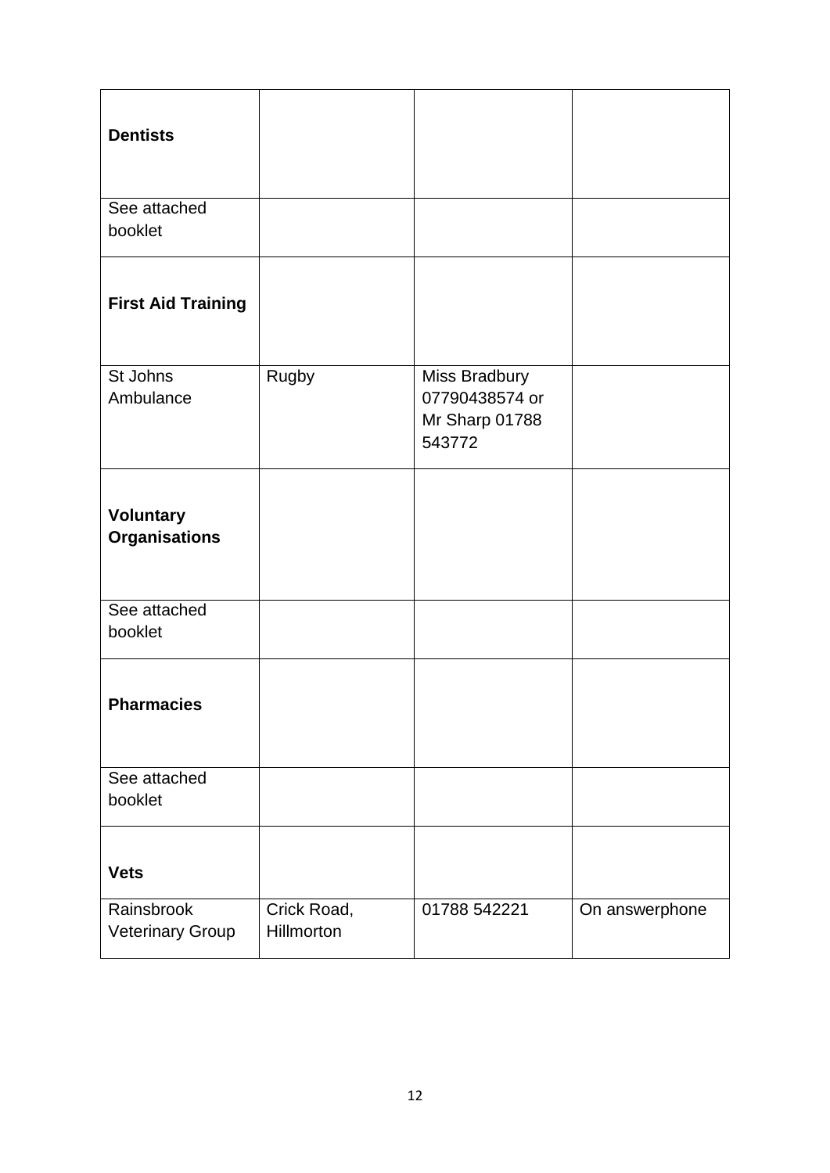| <b>Dentists</b>                          |                           |                                                             |                |
|------------------------------------------|---------------------------|-------------------------------------------------------------|----------------|
| See attached<br>booklet                  |                           |                                                             |                |
| <b>First Aid Training</b>                |                           |                                                             |                |
| St Johns<br>Ambulance                    | Rugby                     | Miss Bradbury<br>07790438574 or<br>Mr Sharp 01788<br>543772 |                |
| <b>Voluntary</b><br><b>Organisations</b> |                           |                                                             |                |
| See attached<br>booklet                  |                           |                                                             |                |
| <b>Pharmacies</b>                        |                           |                                                             |                |
| See attached<br>booklet                  |                           |                                                             |                |
| <b>Vets</b>                              |                           |                                                             |                |
| Rainsbrook<br><b>Veterinary Group</b>    | Crick Road,<br>Hillmorton | 01788 542221                                                | On answerphone |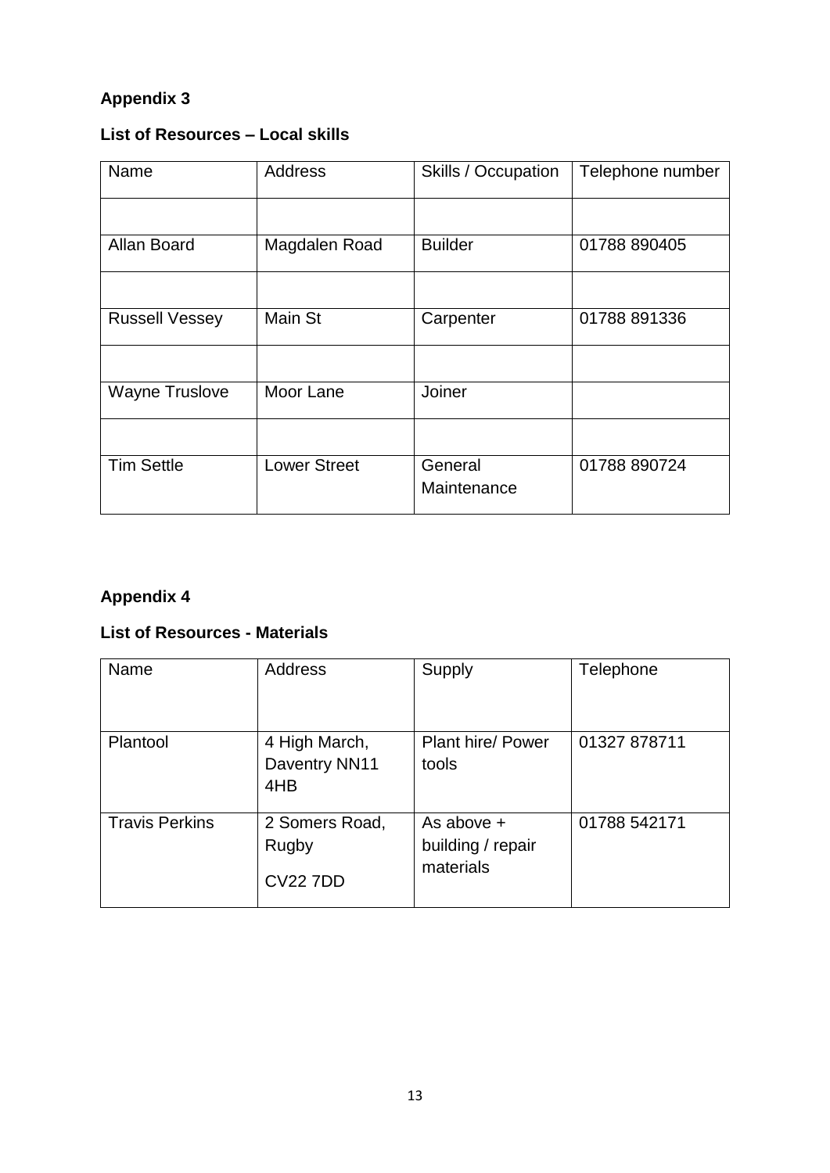# **Appendix 3**

# **List of Resources – Local skills**

| Name                  | <b>Address</b>      | <b>Skills / Occupation</b> | Telephone number |
|-----------------------|---------------------|----------------------------|------------------|
|                       |                     |                            |                  |
| Allan Board           | Magdalen Road       | <b>Builder</b>             | 01788 890405     |
|                       |                     |                            |                  |
| <b>Russell Vessey</b> | Main St             | Carpenter                  | 01788 891336     |
|                       |                     |                            |                  |
| <b>Wayne Truslove</b> | Moor Lane           | Joiner                     |                  |
|                       |                     |                            |                  |
| <b>Tim Settle</b>     | <b>Lower Street</b> | General<br>Maintenance     | 01788 890724     |

# **Appendix 4**

#### **List of Resources - Materials**

| Name                  | <b>Address</b>                             | Supply                                       | Telephone    |
|-----------------------|--------------------------------------------|----------------------------------------------|--------------|
| Plantool              | 4 High March,<br>Daventry NN11<br>4HB      | Plant hire/ Power<br>tools                   | 01327 878711 |
| <b>Travis Perkins</b> | 2 Somers Road,<br>Rugby<br><b>CV22 7DD</b> | As above +<br>building / repair<br>materials | 01788 542171 |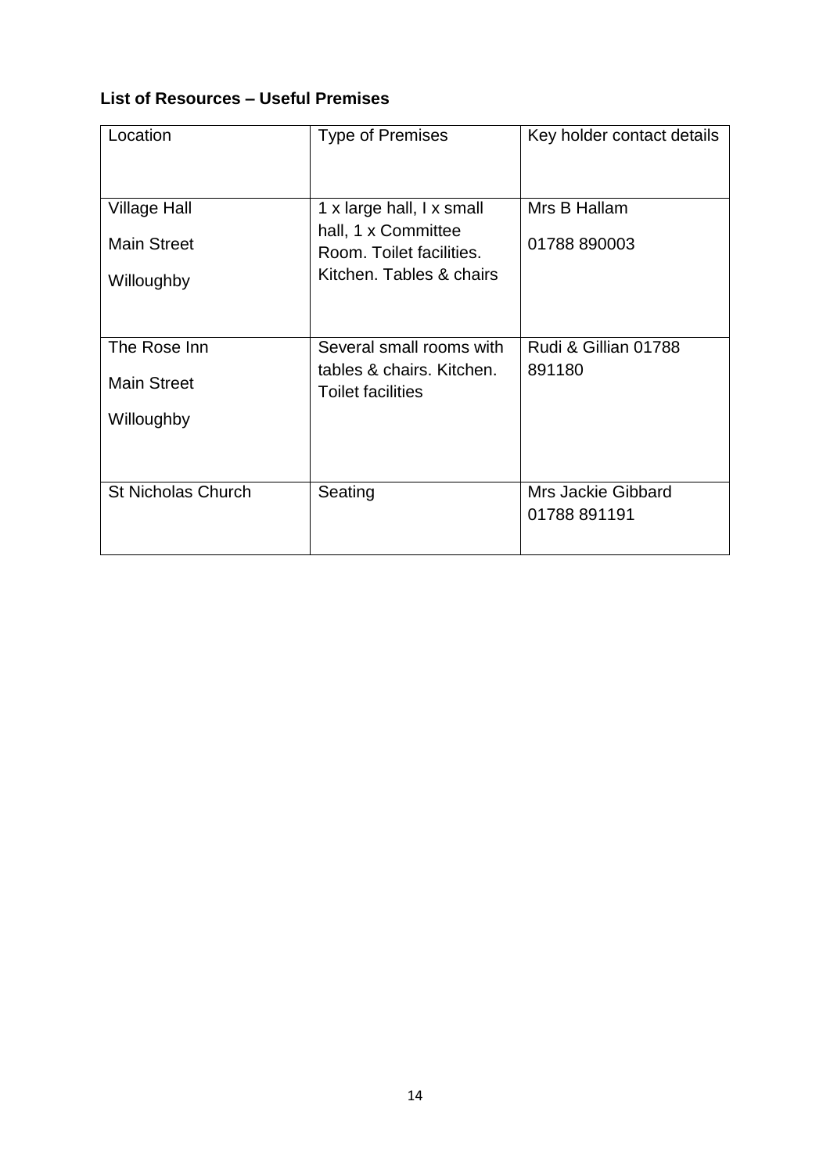## **List of Resources – Useful Premises**

| Location                                                | <b>Type of Premises</b>                                                                                  | Key holder contact details                |
|---------------------------------------------------------|----------------------------------------------------------------------------------------------------------|-------------------------------------------|
| <b>Village Hall</b><br><b>Main Street</b><br>Willoughby | 1 x large hall, I x small<br>hall, 1 x Committee<br>Room. Toilet facilities.<br>Kitchen. Tables & chairs | Mrs B Hallam<br>01788 890003              |
| The Rose Inn<br><b>Main Street</b><br>Willoughby        | Several small rooms with<br>tables & chairs. Kitchen.<br><b>Toilet facilities</b>                        | Rudi & Gillian 01788<br>891180            |
| <b>St Nicholas Church</b>                               | Seating                                                                                                  | <b>Mrs Jackie Gibbard</b><br>01788 891191 |